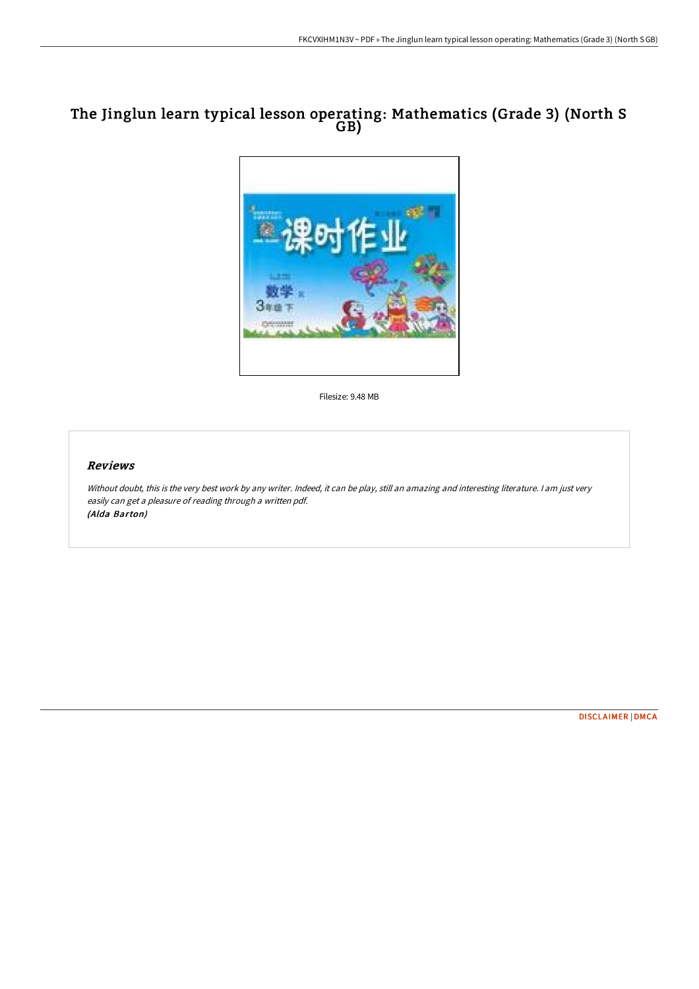# The Jinglun learn typical lesson operating: Mathematics (Grade 3) (North S GB)



Filesize: 9.48 MB

## Reviews

Without doubt, this is the very best work by any writer. Indeed, it can be play, still an amazing and interesting literature. I am just very easily can get <sup>a</sup> pleasure of reading through <sup>a</sup> written pdf. (Alda Barton)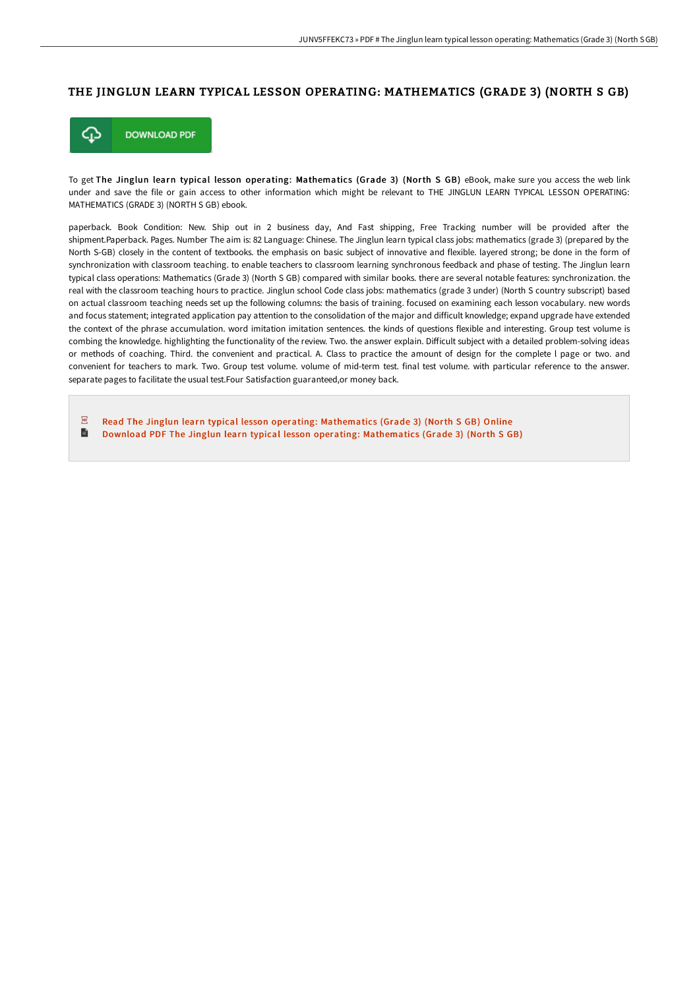### THE JINGLUN LEARN TYPICAL LESSON OPERATING: MATHEMATICS (GRADE 3) (NORTH S GB)



To get The Jinglun learn typical lesson operating: Mathematics (Grade 3) (North S GB) eBook, make sure you access the web link under and save the file or gain access to other information which might be relevant to THE JINGLUN LEARN TYPICAL LESSON OPERATING: MATHEMATICS (GRADE 3) (NORTH S GB) ebook.

paperback. Book Condition: New. Ship out in 2 business day, And Fast shipping, Free Tracking number will be provided after the shipment.Paperback. Pages. Number The aim is: 82 Language: Chinese. The Jinglun learn typical class jobs: mathematics (grade 3) (prepared by the North S-GB) closely in the content of textbooks. the emphasis on basic subject of innovative and flexible. layered strong; be done in the form of synchronization with classroom teaching. to enable teachers to classroom learning synchronous feedback and phase of testing. The Jinglun learn typical class operations: Mathematics (Grade 3) (North S GB) compared with similar books. there are several notable features: synchronization. the real with the classroom teaching hours to practice. Jinglun school Code class jobs: mathematics (grade 3 under) (North S country subscript) based on actual classroom teaching needs set up the following columns: the basis of training. focused on examining each lesson vocabulary. new words and focus statement; integrated application pay attention to the consolidation of the major and difficult knowledge; expand upgrade have extended the context of the phrase accumulation. word imitation imitation sentences. the kinds of questions flexible and interesting. Group test volume is combing the knowledge. highlighting the functionality of the review. Two. the answer explain. Difficult subject with a detailed problem-solving ideas or methods of coaching. Third. the convenient and practical. A. Class to practice the amount of design for the complete l page or two. and convenient for teachers to mark. Two. Group test volume. volume of mid-term test. final test volume. with particular reference to the answer. separate pages to facilitate the usual test.Four Satisfaction guaranteed,or money back.

 $\overline{p}$ Read The Jinglun learn typical lesson operating: [Mathematics](http://www.dailydocs.site/the-jinglun-learn-typical-lesson-operating-mathe-1.html) (Grade 3) (North S GB) Online  $\blacksquare$ Download PDF The Jinglun learn typical lesson operating: [Mathematics](http://www.dailydocs.site/the-jinglun-learn-typical-lesson-operating-mathe-1.html) (Grade 3) (North S GB)